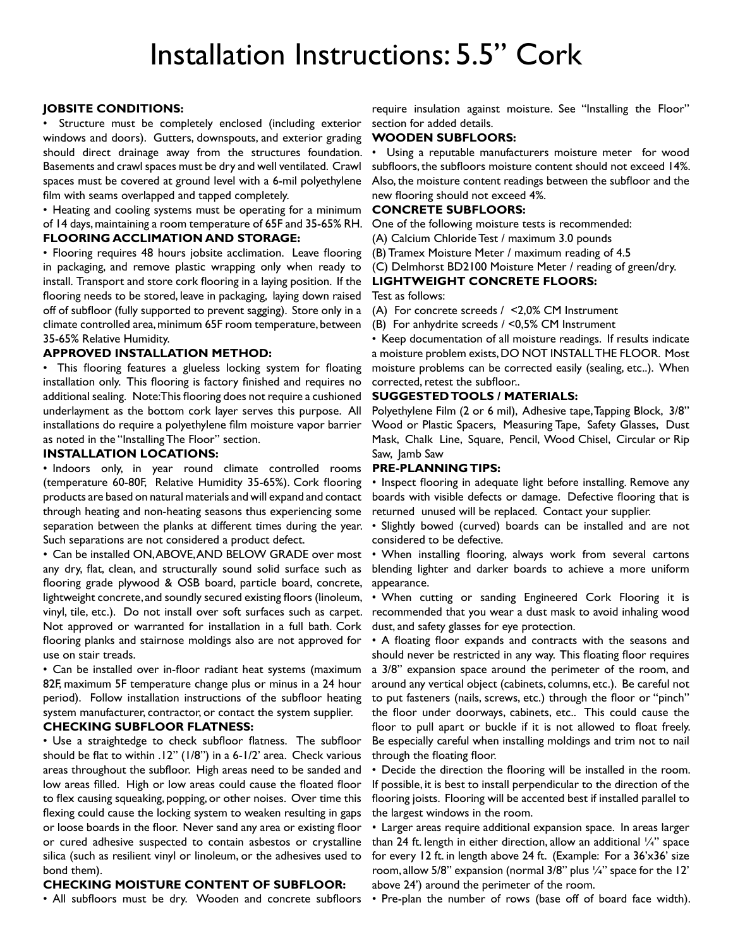# Installation Instructions: 5.5" Cork

# **Jobsite Conditions:**

Structure must be completely enclosed (including exterior windows and doors). Gutters, downspouts, and exterior grading should direct drainage away from the structures foundation. Basements and crawl spaces must be dry and well ventilated. Crawl spaces must be covered at ground level with a 6-mil polyethylene film with seams overlapped and tapped completely.

• Heating and cooling systems must be operating for a minimum of 14 days,maintaining a room temperature of 65F and 35-65% RH. **Flooring Acclimation and Storage:** 

• Flooring requires 48 hours jobsite acclimation. Leave flooring in packaging, and remove plastic wrapping only when ready to install. Transport and store cork flooring in a laying position. If the flooring needs to be stored, leave in packaging, laying down raised off of subfloor (fully supported to prevent sagging). Store only in a climate controlled area,minimum 65F room temperature, between 35-65% Relative Humidity.

#### **Approved Installation Method:**

• This flooring features a glueless locking system for floating installation only. This flooring is factory finished and requires no additional sealing. Note:This flooring does not require a cushioned underlayment as the bottom cork layer serves this purpose. All installations do require a polyethylene film moisture vapor barrier as noted in the "Installing The Floor" section.

# **Installation Locations:**

• Indoors only, in year round climate controlled rooms (temperature 60-80F, Relative Humidity 35-65%). Cork flooring products are based on natural materials and will expand and contact through heating and non-heating seasons thus experiencing some separation between the planks at different times during the year. Such separations are not considered a product defect.

• Can be installed ON, ABOVE, AND BELOW GRADE over most any dry, flat, clean, and structurally sound solid surface such as flooring grade plywood & OSB board, particle board, concrete, lightweight concrete, and soundly secured existing floors (linoleum, vinyl, tile, etc.). Do not install over soft surfaces such as carpet. Not approved or warranted for installation in a full bath. Cork flooring planks and stairnose moldings also are not approved for use on stair treads.

• Can be installed over in-floor radiant heat systems (maximum 82F, maximum 5F temperature change plus or minus in a 24 hour period). Follow installation instructions of the subfloor heating system manufacturer, contractor, or contact the system supplier.

### **Checking Subfloor Flatness:**

• Use a straightedge to check subfloor flatness. The subfloor should be flat to within .12" (1/8") in a 6-1/2' area. Check various areas throughout the subfloor. High areas need to be sanded and low areas filled. High or low areas could cause the floated floor to flex causing squeaking, popping, or other noises. Over time this flexing could cause the locking system to weaken resulting in gaps or loose boards in the floor. Never sand any area or existing floor or cured adhesive suspected to contain asbestos or crystalline silica (such as resilient vinyl or linoleum, or the adhesives used to bond them).

# **Checking Moisture Content of Subfloor:**

• All subfloors must be dry. Wooden and concrete subfloors

require insulation against moisture. See "Installing the Floor" section for added details.

# **Wooden Subfloors:**

Using a reputable manufacturers moisture meter for wood subfloors, the subfloors moisture content should not exceed 14%. Also, the moisture content readings between the subfloor and the new flooring should not exceed 4%.

# **Concrete Subfloors:**

One of the following moisture tests is recommended:

(A) Calcium Chloride Test / maximum 3.0 pounds

(B) Tramex Moisture Meter / maximum reading of 4.5

(C) Delmhorst BD2100 Moisture Meter / reading of green/dry.

#### **Lightweight Concrete Floors:**

Test as follows:

(A) For concrete screeds / <2,0% CM Instrument

(B) For anhydrite screeds / <0,5% CM Instrument

• Keep documentation of all moisture readings. If results indicate a moisture problem exists,DO NOT INSTALLTHE FLOOR. Most moisture problems can be corrected easily (sealing, etc..). When corrected, retest the subfloor..

# **Suggested Tools / Materials:**

Polyethylene Film (2 or 6 mil), Adhesive tape,Tapping Block, 3/8" Wood or Plastic Spacers, Measuring Tape, Safety Glasses, Dust Mask, Chalk Line, Square, Pencil, Wood Chisel, Circular or Rip Saw, Jamb Saw

#### **Pre-Planning Tips:**

• Inspect flooring in adequate light before installing. Remove any boards with visible defects or damage. Defective flooring that is returned unused will be replaced. Contact your supplier.

• Slightly bowed (curved) boards can be installed and are not considered to be defective.

• When installing flooring, always work from several cartons blending lighter and darker boards to achieve a more uniform appearance.

• When cutting or sanding Engineered Cork Flooring it is recommended that you wear a dust mask to avoid inhaling wood dust, and safety glasses for eye protection.

• A floating floor expands and contracts with the seasons and should never be restricted in any way. This floating floor requires a 3/8" expansion space around the perimeter of the room, and around any vertical object (cabinets, columns, etc.). Be careful not to put fasteners (nails, screws, etc.) through the floor or "pinch" the floor under doorways, cabinets, etc.. This could cause the floor to pull apart or buckle if it is not allowed to float freely. Be especially careful when installing moldings and trim not to nail through the floating floor.

• Decide the direction the flooring will be installed in the room. If possible, it is best to install perpendicular to the direction of the flooring joists. Flooring will be accented best if installed parallel to the largest windows in the room.

• Larger areas require additional expansion space. In areas larger than 24 ft. length in either direction, allow an additional '/4" space for every 12 ft. in length above 24 ft. (Example: For a 36'x36' size room, allow 5/8" expansion (normal 3/8" plus ¼" space for the 12' above 24') around the perimeter of the room.

• Pre-plan the number of rows (base off of board face width).